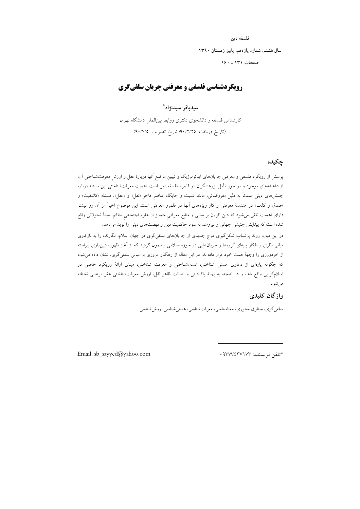#### فلسفه دين

سال هشتم، شماره يازدهم، پاييز زمستان ١٣٩٠

## صفحات ١٣١ ـ ١۶٠

## **رویکردشناسی فلسفی و معرفتی جریان سلفیگری**

#### سيدباقر سيدنژاد\*

کارشناس فلسفه و دانشجوی دکتری روابط بین|لملل دانشگاه تهران (تاريخ دريافت: ٠/٢/٢٥؛ تاريخ تصويب: ٩٠/٧/٥)

#### چکیده

پرسش از رویکرد فلسفی و معرفتی جریانهای ایدئولوژیک و تبیین موضع آنها دربارهٔ عقل و ارزش معرفتشناختی آن، از دغدغههای موجود و در خور تأمل پژوهشگران در قلمرو فلسفه دین است. اهمیت معرفتشناختی این مسئله درباره جنبشهای دینی عمدتاً به دلیل مفروضاتی، مانند نسبت و جایگاه عناصر فاخر «نقل» و «عقل»، مسئله «کاشفیت» و «صدق و کذب» در هندسهٔ معرفتی و کار ویژههای آنها در قلمرو معرفتی است. این موضوع اخیراً از آن رو بیشتر دارای اهمیت تلقی می شود که دین افزون بر مبانی و منابع معرفتی متمایز از علوم اجتماعی حاکم، مبدأ تحولاتی واقع شده است که پیدایش جنبشی جهانی و نیرومند به سود حاکمیت دین و نهضتهای دینی را نوید میدهد.

در این میان، روند پرشتاب شکل گیری موج جدیدی از جریانهای سلفیگری در جهان اسلام، نگارنده را به بازکاوی مبانی نظری و افکار پایهای گروهها و جریانهایی در حوزهٔ اسلامی رهنمون گردید که از آغاز ظهور، دینداری پیراسته از خردورزی را وجههٔ همت خود قرار دادهاند. در این مقاله از رهگذر مروری بر مبانی سلفیگری، نشان داده می شود که چگونه پارهای از دعاوی هستی شناختی، انسانشناختی و معرفت شناختی، مبنای ارائهٔ رویکرد خاصی در اسلام\$رایی واقع شده و در نتیجه، به بهانهٔ پاکدینی و اصالت ظاهر نقل، ارزش معرفتشناختی عقل برهانی تخطئه مې شو د.

#### واژگان کلیدی

سلفي گري، منطوق محوري، معناشناسي، معرفتشناسي، هستي شناسي، روش شناسي.

Email: sb\_sayyed@yahoo.com

\*تلفن نويسنده: ٩٣٧٧٤٣٧١٧٣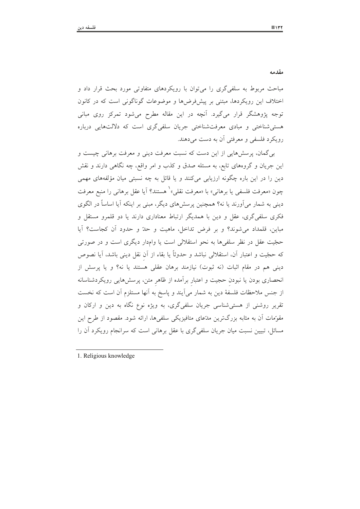مقدمه

مباحث مربوط به سلفی گری را می توان با رویکردهای متفاوتی مورد بحث قرار داد و اختلاف این رویکردها، مبتنی بر پیشفرضها و موضوعات گوناگونی است که در کانون توجه پژوهشگر قرار میگیرد. آنچه در این مقاله مطرح میشود تمرکز روی مبانی هستی شناختی و مبادی معرفت شناختی جریان سلفیگری است که دلالتهایی درباره رويكرد فلسفى و معرفتى آن به دست مى دهند.

به گمان، پرسشهایی از این دست که نسبت معرفت دینی و معرفت برهانی چیست و این جریان و گروههای تابع، به مسئله صدق و کذب و امر واقع، چه نگاهی دارند و نقش دین را در این باره چگونه ارزیابی میکنند و یا قائل به چه نسبتی میان مؤلفههای مهمی چون «معرفت فلسفى يا برهاني» با «معرفت نقلي»` هستند؟ آيا عقل برهاني را منبع معرفت دینی به شمار میآورند یا نه؟ همچنین پرسشهای دیگر، مبنی بر اینکه آیا اساساً در الگوی .<br>فکری سلفیگری، عقل و دین با همدیگر ارتباط معناداری دارند یا دو قلمرو مستقل و مباين، قلمداد مي شوند؟ و بر فرض تداخل، ماهيت و حدّ و حدود أن كجاست؟ أيا حجّیت عقل در نظر سلفیها به نحو استقلالی است یا وامدار دیگری است و در صورتی كه حجّيت و اعتبار آن، استقلالي نباشد و حدوثاً يا بقاء از آن نقل ديني باشد، آيا نصوص دینی هم در مقام اثبات (نه ثبوت) نیازمند برهان عقلی هستند یا نه؟ و یا پرسش از انحصاری بودن یا نبودن حجیت و اعتبار برآمده از ظاهر متن، پرسشهایی رویکردشناسانه از جنس ملاحظات فلسفة دين به شمار مي آيند و پاسخ به آنها مستلزم آن است كه نخست تقریر روشنی از هستی شناسی جریان سلفیگری، به ویژه نوع نگاه به دین و ارکان و مقوِّمات آن به مثابه بزرگترین مدِّعای متافیزیکی سلفیها، ارائه شود. مقصود از طرح این مسائل، تبیین نسبت میان جریان سلفی گری با عقل برهانی است که سرانجام رویکرد آن را

1. Religious knowledge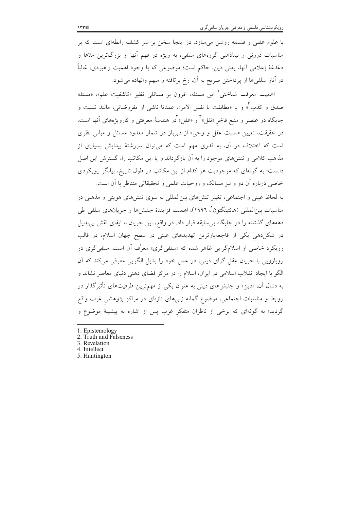با علوم عقلی و فلسفه روشن می سازد. در اینجا سخن بر سر کشف رابطهای است که بر مناسبات درونی و بیناذهنی گروههای سلفی، به ویژه در فهم آنها از بزرگترین مدّعا و دغدغهٔ إعلامی آنها، یعنی دین، حاکم است؛ موضوعی که با وجود اهمیت راهبردی، غالباً در آثار سلفیها از پرداختن صریح به آن، رخ برتافته و مبهم وانهاده میشود.

اهمیت معرفت شناختی<sup>٬</sup> این مسئله، افزون بر مسائلی نظیر «کاشفیت علم»، «مسئله صدق و كذب ْ» و يا «مطابقت با نفس الامر»، عمدتاً ناشى از مفروضاتى، مانند نسبت و جایگاه دو عنصر و منبع فاخر «نقل»<sup>۳</sup> و «عقل»<sup>۴</sup>در هندسهٔ معرفت<sub>ی</sub> و کارویژههای آنها است. در حقیقت، تعیین «نسبت عقل و وحی» از دیرباز در شمار معدود مسائل و مبانی نظری است که اختلاف در آن، به قدری مهم است که میتوان سررشتهٔ پیدایش بسیاری از مذاهب کلامی و تنشهای موجود را به آن بازگرداند و یا این مکاتب را، گسترش این اصل دانست؛ به گونهای که موجودیت هر کدام از این مکاتب در طول تاریخ، بیانگر رویکردی خاصی درباره آن دو و نیز مسالک و روحیات علمی و تحقیقاتی متناظر با آن است.

به لحاظ عینی و اجتماعی، تغییر تنشهای بین|لمللی به سوی تنشهای هویتی و مذهبی در مناسبات بين|لمللي (هانتينگتون°، ١٩٩٦)، اهميت فزايندهٔ جنبشها و جريانهاي سلفي طي دهههای گذشته را در جایگاه بی سابقه قرار داد. در واقع، این جریان با ایفای نقش بیبدیل در شکل(دهی یکی از فاجعهبارترین تهدیدهای عینی در سطح جهان اسلام، در قالب رویکرد خاصی از اسلامگرایی ظاهر شده که «سلفیگری» معرِّف آن است. سلفیگری در رویارویی با جریان عقل گرای دینی، در عمل خود را بدیل الگویی معرفی می کند که اَن الگو با ایجاد انقلاب اسلامی در ایران، اسلام را در مرکز فضای ذهنی دنیای معاصر نشاند و به دنبال آن، «دین» و جنبشهای دینی به عنوان یکی از مهمترین ظرفیتهای تأثیرگذار در روابط و مناسبات اجتماعی، موضوع گمانه زنی۵ای تازهای در مراکز پژوهشی غرب واقع گردید؛ به گونهای که برخی از ناظران متفکر غرب پس از اشاره به پیشینهٔ موضوع و

- 1. Epistemology
- 2. Truth and Falseness
- 3. Revelation
- 4. Intellect
- 5. Huntington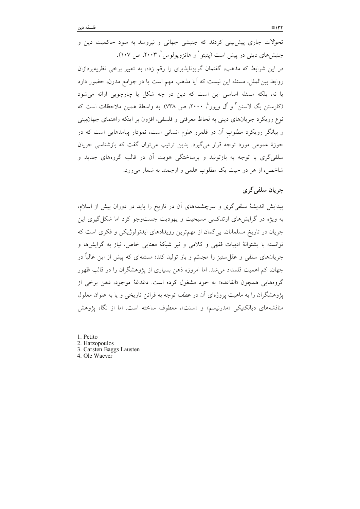تحولات جاری پیش بینی کردند که جنبشی جهانی و نیرومند به سود حاکمیت دین و جنبشهای دینی در پیش است (پتیتو ٰ و هاتزویولوس ٔ، ۲۰۰۳، ص ۱۰۷). در این شرایط که مذهب، گفتمان گریزناپذیری را رقم زده، به تعبیر برخی نظریهپردازان روابط بین|لملل، مسئله این نیست که آیا مذهب مهم است یا در جوامع مدرن، حضور دارد یا نه، بلکه مسئله اساسی این است که دین در چه شکل یا چارچوبی ارائه میشود (کارستن بگ لاستن ؓ و اُل ویور ٔ، ۲۰۰۰، ص ۷۳۸). به واسطهٔ همین ملاحظات است که نوع رويكرد جريانهاي ديني به لحاظ معرفتي و فلسفي، افزون بر اينكه راهنماي جهانبيني و بیانگر رویکرد مطلوب آن در قلمرو علوم انسانی است، نمودار پیامدهایی است که در حوزهٔ عمومی مورد توجه قرار میگیرد. بدین ترتیب میتوان گفت که بازشناسی جریان سلفی گری با توجه به بازتولید و برساختگی هویت آن در قالب گروههای جدید و شاخص، از هر دو حیث یک مطلوب علمی و ارجمند به شمار میرود.

## جريان سلفي گري

پیدایش اندیشهٔ سلفی گری و سرچشمههای آن در تاریخ را باید در دوران پیش از اسلام، به ویژه در گرایشهای ارتدکسی مسیحیت و یهودیت جستوجو کرد اما شکل گیری این جریان در تاریخ مسلمانان، بی گمان از مهمترین رویدادهای ایدئولوژیکی و فکری است که توانسته با يشتوانهٔ ادبيات فقهي و كلامي و نيز شبكهٔ معنايي خاص، نياز به گرايشها و جریانهای سلفی و عقل ستیز را مجسّم و باز تولید کند؛ مسئلهای که پیش از این غالباً در جهان، کم اهمیت قلمداد می شد. اما امروزه ذهن بسیاری از پژوهشگران را در قالب ظهور گروههايي همچون «القاعده» به خود مشغول كرده است. دغدغهٔ موجود، ذهن برخي از یژوهشگران را به ماهیت یروژهای اَن در عطف توجه به قرائن تاریخی و یا به عنوان معلول مناقشههای دیالکتیکی «مدرنیسم» و «سنت»، معطوف ساخته است. اما از نگاه پژوهش

- 1. Petito
- 2. Hatzopoulos
- 3. Carsten Baggs Lausten
- 4. Ole Waever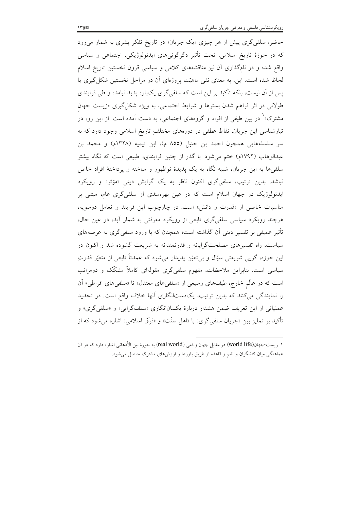حاضر، سلفی گری پیش از هر چیزی «یک جریان» در تاریخ تفکر بشری به شمار میرود که در حوزهٔ تاریخ اسلامی، تحت تأثیر دگرگونیهای ایدئولوژیکی، اجتماعی و سیاسی واقع شده و در نامگذاری آن نیز مناقشههای کلامی و سیاسی قرون نخستین تاریخ اسلام لحاظ شده است. این، به معنای نفی ماهیّت پروژهای آن در مراحل نخستین شکل گیری یا پس از آن نیست، بلکه تأکید بر این است که سلفیگری یکباره پدید نیامده و طی فرایندی طولانی در اثر فراهم شدن بسترها و شرایط اجتماعی، به ویژه شکل گیری «زیست جهان مشترک»<sup>۱</sup> در بین طیفی از افراد و گروههای اجتماعی، به دست آمده است. از این رو، در تبارشناسی این جریان، نقاط عطفی در دورههای مختلفِ تاریخ اسلامی وجود دارد که به سر سلسلههایی همچون احمد بن حنبل (۸۵۵ م)، ابن تیمیه (۱۳۲۸م) و محمد بن عبدالوهاب (۱۷۹۲م) ختم می شود. با گذر از چنین فرایندی، طبیعی است که نگاه بیشتر سلفیها به این جریان، شبیه نگاه به یک پدیدهٔ نوظهور و ساخته و پرداختهٔ افراد خاص نباشد. بدین ترتیب، سلفیگری اکنون ناظر به یک گرایش دینی «مؤثر» و رویکرد ایدئولوژیک در جهان اسلام است که در عین بهرهمندی از سلفیگری عام، مبتنی بر مناسبات خاصی از «قدرت و دانش» است. در چارچوب این فرایند و تعامل دوسویه، هرچند رویکرد سیاسی سلفیگری تابعی از رویکرد معرفتی به شمار أید، در عین حال، تأثیر عمیقی بر تفسیر دینی اَن گذاشته است؛ همچنان که با ورود سلفیگری به عرصههای سیاست، راه تفسیرهای مصلحتگرایانه و قدرتمندانه به شریعت گشوده شد و اکنون در این حوزه، گویی شریعتی سیّال و بیتعیّن پدیدار میشود که عمدتاً تابعی از متغیّر قدرتِ سیاسی است. بنابراین ملاحظات، مفهوم سلفیگری مقولهای کاملاً مشکّک و ذومراتب است که در عالَم خارج، طیفهای وسیعی از «سلفیهای معتدل» تا «سلفیهای افراطی» آن را نمایندگی میکنند که بدین ترتیب، یکدستانگاری آنها خلاف واقع است. در تحدید عملیاتی از این تعریف ضمن هشدار دربارهٔ یکسانانگاری «سلفگرایی» و «سلفیگری» و تأكيد بر تمايز بين «جريان سلفي گري» با «اهل سنّت» و «فِرَق اسلامي» اشاره مي شود كه از

١. زيست-جهان(world life) در مقابل جهان واقعي (real world) به حوزهٔ بين الأذهاني اشاره دارد كه در آن هماهنگی میان کنشگران و نظم و قاعده از طریق باورها و ارزشهای مشترک حاصل می شود.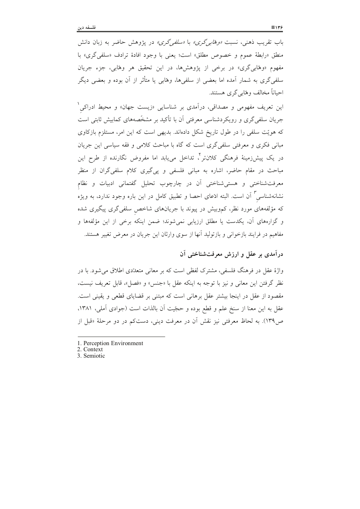باب تقریب ذهنی، نسبت *«وهّابهِ گری» با «سلفهِ گری» د*ر یژوهش حاضر به زبان دانش منطق «رابطة عموم و خصوص مطلق» است؛ يعني با وجود افادة ترادف «سلفي گري» با مفهوم «وهابی گری» در برخی از پژوهشها، در این تحقیق هر وهابی، جزء جریان سلفی گری به شمار آمده اما بعضی از سلفیها، وهابی یا متأثر از آن بوده و بعضی دیگر احیاناً مخالف وهّابی گری هستند.

این تعریف مفهومی و مصداقی، درآمدی بر شناسایی «زیست جهان» و محیط ادراکی<sup>۱</sup> جریان سلفی گری و رویکردشناسی معرفتی آن با تأکید بر مشخّصههای کمابیش ثابتی است که هویّت سلفی را در طول تاریخ شکل دادهاند. بدیهی است که این امر، مستلزم بازکاوی مبانی فکری و معرفتی سلفیگری است که گاه با مباحث کلامی و فقه سیاسی این جریان در یک پیشزمینهٔ فرهنگ<sub>ی</sub> کلانتر<sup>۲</sup>، تداخل مییابد اما مفروض نگارنده از طرح این مباحث در مقام حاضر، اشاره به مبانی فلسفی و یی گیری کلام سلفیگران از منظر معرفت شناختی و هستی شناختی آن در چارچوب تحلیل گفتمانی ادبیات و نظام نشانهشناسی ٌ اَن است. البته ادّعای احصا و تطبیق کامل در این باره وجود ندارد، به ویژه که مؤلفههای مورد نظر، کموبیش در پیوند با جریانهای شاخص سلفی گری پیگیری شده و گزارههای آن، یکدست یا مطلق ارزیابی نمیشوند؛ ضمن اینکه برخی از این مؤلفهها و مفاهیم در فرایند بازخوانی و بازتولید آنها از سوی وارثان این جریان در معرض تغییر هستند.

#### درآمدی بر عقل و ارزش معرفتشناختی آن

واژهٔ عقل در فرهنگ فلسفی، مشترک لفظی است که بر معانی متعدّدی اطلاق میشود. با در نظر گرفتن این معانی و نیز با توجه به اینکه عقل با «جنس» و «فصل»، قابل تعریف نیست، مقصود از عقل در اینجا بیشتر عقل برهانی است که مبتنی بر قضایای قطعی و یقینی است. عقل به اين معنا از سنخ علم و قطع بوده و حجّيت آن بالذات است (جوادي آملي، ١٣٨١، ص؟١٣٩). به لحاظ معرفتي نيز نقش آن در معرفت ديني، دستکم در دو مرحلهٔ «قبل از

<sup>1.</sup> Perception Environment

<sup>2.</sup> Context

<sup>3.</sup> Semiotic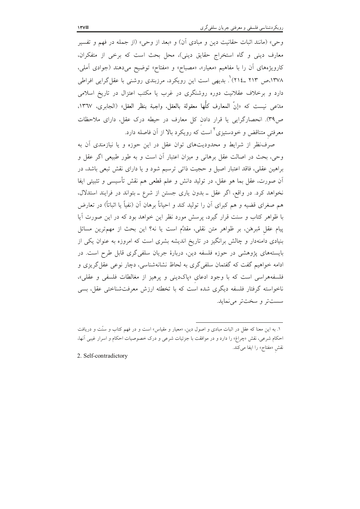وحي» (مانند اثبات حقانيت دين و مبادى أن) و «بعد از وحي» (از جمله در فهم و تفسير معارف دینی و گاه استخراج حقایق دینی)، محل بحث است که برخی از متفکران، کارویژههای آن را با مفاهیم «معیار»، «مصباح» و «مفتاح» توضیح میدهند (جوادی آملی، ۱۳۷۸،ص ۲۱۳ ـ۲۱٤)'. بدیهی است این رویکرد، مرزبندی روشنی با عقل گرایی افراطی دارد و برخلاف عقلانیت دوره روشنگری در غرب یا مکتب اعتزال در تاریخ اسلامی مدَّعي نيست كه «إنّ المعارف كلُّها معقولة بالعقل، واجبة بنظر العقل» (الجابري، ١٣٦٧، ص٣٩). انحصارگرايي يا قرار دادن كل معارف در حيطه درك عقل، داراي ملاحظات معرفتی متناقض و خودستیزی<sup>۲</sup> است که رویکرد بالا از آن فاصله دارد.

صرف نظر از شرایط و محدودیتهای توان عقل در این حوزه و یا نیازمندی آن به وحي، بحث در اصالت عقل برهاني و ميزان اعتبار أن است و به طور طبيعي اگر عقل و براهين عقلي، فاقد اعتبار اصيل و حجيت ذاتي ترسيم شود و يا داراي نقش تبعي باشد، در اّن صورت، عقل بما هو عقل، در توليد دانش و علم قطعي هم نقش تأسيسي و تثبيتي ايفا نخواهد کرد. در واقع، اگر عقل ــ بدون یاری جستن از شرع ــ بتواند در فرایند استدلال، هم صغرای قضیه و هم کبرای آن را تولید کند و احیاناً برهان آن (نفیاً یا اثباتاً) در تعارض با ظواهر کتاب و سنت قرار گیرد، پرسش مورد نظر این خواهد بود که در این صورت آیا پیام عقل مُبرهَن، بر ظواهر متن نقلی، مقدَّم است یا نه؟ این بحث از مهمترین مسائل بنیادی دامنهدار و چالش برانگیز در تاریخ اندیشه بشری است که امروزه به عنوان یکی از بایستههای پژوهشی در حوزه فلسفه دین، دربارهٔ جریان سلفی گری قابل طرح است. در ادامه خواهیم گفت که گفتمان سلفی گری به لحاظ نشانهشناسی، دچار نوعی عقل گریزی و فلسفههراسی است که با وجود ادعای «پاکدینی و پرهیز از مغالطات فلسفی و عقلی»، ناخواسته گرفتار فلسفه دیگری شده است که با تخطئه ارزش معرفتشناختی عقل، بسی سستتر و سختتر مي نمايد.

2. Self-contradictory

۱. به این معنا که عقل در اثبات مبادی و اصول دین، «معیار و مقیاس» است و در فهم کتاب و سنّت و دریافت احکام شرعی، نقش «چراغ» را دارد و در موافقت با جزئیات شرعی و درک خصوصیات احکام و اسرار غیبی آنها، نقش «مفتاح» را ايفا مي كند.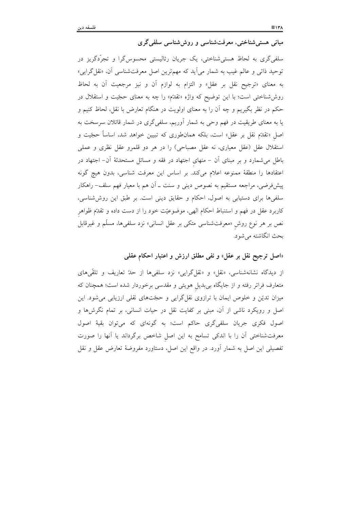مبانی هستی شناختی، معرفتشناسی و روش شناسی سلفی گری

سلفی گری به لحاظ هستی شناختی، یک جریان رئالیستی محسوس گرا و تجرّدگریز در توحید ذاتی و عالم غیب به شمار میآید که مهمترین اصل معرفتشناسی آن، «نقل گرایی» به معناى «ترجيح نقل بر عقل» و التزام به لوازم أن و نيز مرجعيت أن به لحاظ روششناختی است؛ با این توضیح که واژه «تقدّم» را چه به معنای حجّیت و استقلال در حکم در نظر بگیریم و چه آن را به معنای اولویت در هنگام تعارض با نقل، لحاظ کنیم و یا به معنای طریقیت در فهم وحی به شمار آوریم، سلفی گری در شمار قائلان سرسخت به اصل «تقدَّم نقل بر عقل» است، بلکه همانطوری که تبیین خواهد شد، اساساً حجّیت و استقلال عقل (عقل معیاری، نه عقل مصباحی) را در هر دو قلمرو عقل نظری و عملی باطل میشمارد و بر مبنای آن – منهای اجتهاد در فقه و مسائل مستحدثهٔ آن– اجتهاد در اعتقادها را منطقهٔ ممنوعه اعلام میکند. بر اساس این معرفت شناسی، بدون هیچ گونه پیشفروضی، مراجعه مستقیم به نصوص دینی و سنت ـ آن هم با معیار فهم سلف– راهکار سلفیها برای دستیابی به اصول، احکام و حقایق دینی است. بر طبق این روششناسی، کاربرد عقل در فهم و استنباط احکام الهی، موضوعیّت خود را از دست داده و تقدّم ظواهر نص بر هر نوع روش «معرفتشناسی متکی بر عقل انسانی» نزد سلفیها، مسلَّم و غیرقابل بحث انگاشته می شود.

«اصل ترجیح نقل بر عقل» و نفی مطلق ارزش و اعتبار احکام عقلبی

از دیدگاه نشانهشناسی، «نقل» و «نقل گرایی» نزد سلفیها از حدّ تعاریف و تلقّیهای متعارف فراتر رفته و از جایگاه بیِبدیل هویتی و مقدسی برخوردار شده است؛ همچنان که میزان تدیّن و خلوص ایمان با ترازوی نقل گرایی و حجّتهای نقلی ارزیابی میشود. این اصل و رویکرد ناشی از آن، مبنی بر کفایت نقل در حیات انسانی، بر تمام نگرش۵ا و اصول فکری جریان سلفیگری حاکم است؛ به گونهای که میتوان بقیهٔ اصول معرفتشناختی آن را با اندکی تسامح به این اصل شاخص برگرداند یا آنها را صورت تفصیلی این اصل به شمار آورد. در واقع این اصل، دستاورد مفروضهٔ تعارض عقل و نقل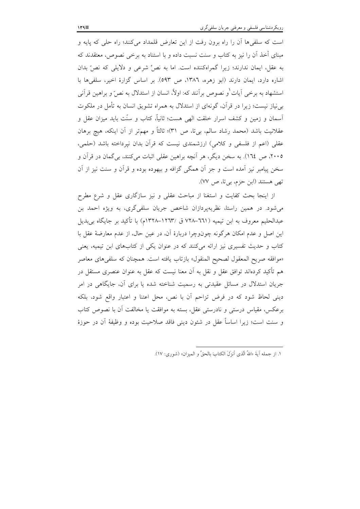است که سلفی ها آن را راه برون رفت از این تعارض قلمداد میکنند؛ راه حلی که پایه و مبنای أخذ آن را نیز به کتاب و سنت نسبت داده و با استناد به برخی نصوص، معتقدند که به عقل، ایمان ندارند؛ زیرا گمراهکننده است. اما به نصٌّ شرعی و دلایلی که نصّ بدان اشاره دارد، ایمان دارند (ابو زهره، ١٣٨٦، ص ٥٩٣). بر اساس گزارهٔ اخیر، سلفیها با استشهاد به برخی آیات و نصوص برآنند که: اولاً، انسان از استدلال به نصِّ و براهین قرآنی بی نیاز نیست؛ زیرا در قرآن، گونهای از استدلال به همراه تشویق انسان به تأمل در ملکوت آسمان و زمین و کشف اسرار خلقت الهی هست؛ ثانیاً، کتاب و سنّت باید میزان عقل و عقلانیت باشد (محمد رشاد سالم، بیتا، ص ٣١)؛ ثالثاً و مهمتر از آن اینکه، هیچ برهان عقلی (اعم از فلسفی و کلامی) ارزشمندی نیست که قرآن بدان نپرداخته باشد (حلمی، ۲۰۰۵، ص ١٦٤). به سخن ديگر، هر آنچه براهين عقلي اثبات مي كنند، بي گمان در قرآن و سخن پیامبر نیز آمده است و جز آن همگی گزافه و بیهوده بوده و قرآن و سنت نیز از آن تهي هستند (ابن حزم، بي تا، ص ٧٧).

از اینجا بحث کفایت و استغنا از مباحث عقلی و نیز سازگاری عقل و شرع مطرح می شود. در همین راستا، نظریهپردازان شاخص جریان سلفی گری، به ویژه احمد بن عبدالحليم معروف به ابن تيميه (٦٦١–٧٢٨ ق /١٢٦٣-١٣٢٨م) با تأكيد بر جايگاه بيبديل این اصل و عدم امکان هرگونه چونوچرا دربارهٔ آن، در عین حال، از عدم معارضهٔ عقل با کتاب و حدیث تفسیری نیز ارائه میکنند که در عنوان یکی از کتابهای ابن تیمیه، یعنی «موافقه صريح المعقول لصحيح المنقول» بازتاب يافته است. همچنان كه سلفىهاى معاصر هم تأكيد كردهاند توافق عقل و نقل به آن معنا نيست كه عقل به عنوان عنصري مستقل در جریان استدلال در مسائل عقیدتی به رسمیت شناخته شده یا برای آن، جایگاهی در امر دینی لحاظ شود که در فرض تزاحم آن با نص، محل اعتنا و اعتبار واقع شود، بلکه برعکس، مقیاس درستی و نادرستی عقل، بسته به موافقت یا مخالفت آن با نصوص کتاب و سنت است؛ زيرا اساساً عقل در شئون ديني فاقد صلاحيت بوده و وظيفهٔ آن در حوزهٔ

١. از جمله آية «اللهُ الّذي أنزَلَ الكتابَ بالحقِّ و الميزان» (شوري: ١٧).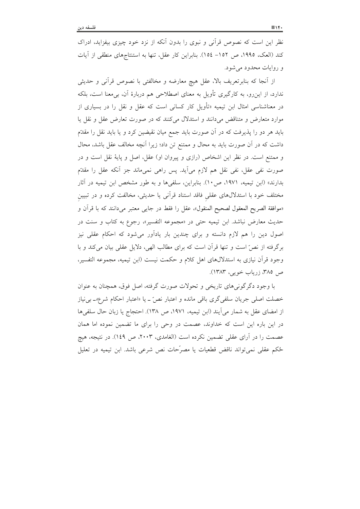نظر این است که نصوص قرآنی و نبوی را بدون آنکه از نزد خود چیزی بیفزاید، ادراک كند (العك، ١٩٩٥، ص ١٥٢– ١٥٤). بنابراين كار عقل، تنها به استنتاجهاي منطقى از آيات و روایات محدود میشود.

از آنجا که بنابرتعریف بالا، عقل هیچ معارضه و مخالفتی با نصوص قرآنی و حدیثی ندارد، از این رو، به کارگیری تأویل به معنای اصطلاحی هم دربارهٔ آن، بی معنا است، بلکه در معناشناسی امثال ابن تیمیه «تأویل کار کسانی است که عقل و نقل را در بسیاری از موارد متعارض و متناقض میدانند و استدلال میکنند که در صورت تعارض عقل و نقل یا باید هر دو را پذیرفت که در آن صورت باید جمع میان نقیضین کرد و یا باید نقل را مقدّم داشت که در اَن صورت باید به محال و ممتنع تن داد؛ زیرا اَنچه مخالف عقل باشد، محال و ممتنع است. در نظر این اشخاص (رازی و پیروان او) عقل، اصل و پایهٔ نقل است و در صورت نفي عقل، نفي نقل هم لازم مي]يد. يس راهي نميءاند جز آنكه عقل را مقدّم بدارند» (ابن تیمیه، ۱۹۷۱، ص ۱۰). بنابراین، سلفیها و به طور مشخص ابن تیمیه در آثار مختلف خود با استدلالهای عقلی فاقد استناد قرآنی یا حدیثی، مخالفت کرده و در تبیین «موافقة الصريح المعقول لصحيح المنقول»، عقل را فقط در جايبي معتبر مي دانند كه با قرآن و حديث معارض نباشد. ابن تيميه حتى در «مجموعه التفسير»، رجوع به كتاب و سنت در اصول دین را هم لازم دانسته و برای چندین بار یادآور می شود که احکام عقلی نیز برگرفته از نصَّ است و تنها قرآن است كه براى مطالب الهي، دلايل عقلي بيان ميكند و با وجود قرآن نیازی به استدلالهای اهل کلام و حکمت نیست (ابن تیمیه، مجموعه التفسیر، ص ٣٨٥، زرياب خويي، ١٣٨٣).

با وجود دگر گونی های تاریخی و تحولات صورت گرفته، اصل فوق، همچنان به عنوان خصلت اصلي جريان سلفي گري باقي مانده و اعتبار نصّ ٍ \_ يا «اعتبار احكام شرع»\_ بي نياز از امضاي عقل به شمار مي آيند (ابن تيميه، ١٩٧١، ص ١٣٨). احتجاج يا زبان حال سلفي ها در این باره این است که خداوند، عصمت در وحی را برای ما تضمین نموده اما همان عصمت را در آرای عقلبی تضمین نکرده است (الغامدی، ۲۰۰۳، ص ۱٤۹). در نتیجه، هیچ حُكم عقلي نمي تواند ناقض قطعيات يا مصرَّحات نص شرعي باشد. ابن تيميه در تعليل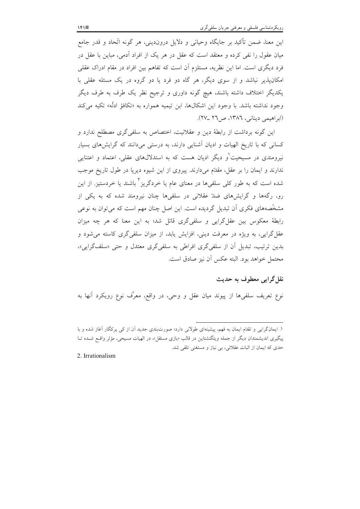این معنا، ضمن تأکید بر جایگاه وحیانی و دلایل دروندینی، هر گونه اتّحاد و قدر جامع میان عقول را نفی کرده و معتقد است که عقل در هر یک از افراد آدمی، مباین با عقل در فرد دیگری است. اما این نظریه، مستلزم آن است که تفاهم بین افراد در مقام ادراک عقلی امکان پذیر نباشد و از سوی دیگر، هر گاه دو فرد یا دو گروه در یک مسئله عقلی با یکدیگر اختلاف داشته باشند، هیچ گونه داوری و ترجیح نظر یک طرف به طرف دیگر وجود نداشته باشد. با وجود این اشکالها، ابن تیمیه همواره به «تکافؤ ادلّه» تکیه م<sub>ی</sub>کند (ابر اهیمی دینانی، ١٣٨٦، ص٢٦ ـ٢٧).

این گونه برداشت از رابطهٔ دین و عقلانیت، اختصاص به سلفی گری مصطلح ندارد و کسانی که با تاریخ الهیات و ادیان آشنایی دارند، به درستی میدانند که گرایشهای بسیار نیرومندی در مسیحیت و دیگر ادیان هست که به استدلالهای عقلی، اعتماد و اعتنایی ندارند و ایمان را بر عقل، مقدّم می۱درند. پیروی از این شیوه دیرپا در طول تاریخ موجب شده است که به طور کلی سلفیها در معنای عام یا خردگریز<sup>۲</sup> باشند یا خردستیز. از این رو، رگهها و گرایشهای ضلهٔ عقلانی در سلفیها چنان نیرومند شده که به یکی از مشخَّصههای فکری آن تبدیل گردیده است. این اصل چنان مهم است که می توان به نوعی رابطهٔ معکوس بین عقل گرایی و سلفی گری قائل شد؛ به این معنا که هر چه میزان عقل گرایی، به ویژه در معرفت دینی، افزایش یابد، از میزان سلفیگری کاسته می شود و بدین ترتیب، تبدیل آن از سلفی گری افراطی به سلفی گری معتدل و حتی «سلف گرایی»، محتمل خواهد بود. البته عكس أن نيز صادق است.

## نقل گرايي معطوف به حديث

نوع تعریف سلفیها از پیوند میان عقل و وحی، در واقع، معرِّف نوع رویکرد آنها به

2. Irrationalism

۱. ایمانگرایی و تقدّم ایمان به فهم، پیشینهای طولانی دارد؛ صورتبندی جدید اَن از کی پرکگار اَغاز شده و با پیگیری اندیشمندان دیگر از جمله ویتگنشتاین در قالب «بازی مستقل»، در الهیات مسیحی، مؤثر واقع شـده تـا حدی که ایمان از اثبات عقلانی، بی نیاز و مستغنی تلقی شد.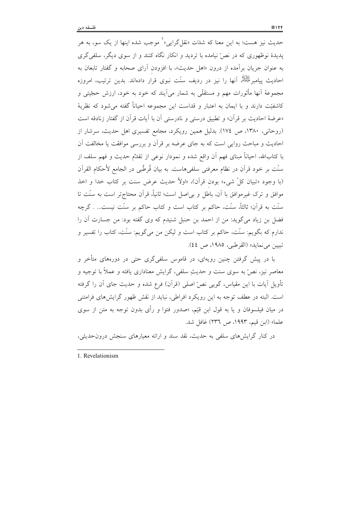حدیث نیز هست؛ به این معنا که شدّت «نقلگرایی»<sup>\</sup> موجب شده اینها از یک سو، به هر پدیدهٔ نوظهوری که در نصّ نیامده با تردید و انکار نگاه کنند و از سوی دیگر، سلفی گری به عنوان جريان برأمده از درون «اهل حديث»، با افزودن أراى صحابه و گفتار تابعان به احادیث پیامبرﷺ، آنها را نیز در ردیف سنّت نبوی قرار دادهاند. بدین ترتیب، امروزه مجموعهٔ اَنها مأثورات مهم و مستقلَّی به شمار می]یند که خود به خود، ارزش حجّیتی و كاشفيّت دارند و با ايمان به اعتبار و قداست اين مجموعه احياناً گفته مى شود كه نظريهٔ «عرضهٔ احادیث بر قرآن» و تطبیق درستی و نادرستی آن با آیات قرآن از گفتار زنادقه است (روحانی، ۱۳۸۰، ص ۱۷٤). بدلیل همین رویکرد، مجامع تفسیری اهل حدیث، سرشار از احادیث و مباحث روایی است که به جای عرضه بر قرآن و بررسی موافقت یا مخالفت آن با كتابالله، احياناً مبناى فهم أن واقع شده و نمودار نوعى از تقدِّم حديث و فهم سلف از سنّت بر خود قرأن در نظام معرفتي سلفي هاست. به بيان قُرطُبي در الجامع لأحكام القرأن (با وجود «تبيان كلِّ شيء» بودن قرآن)، «اولاً حديث عرض سنت بر كتاب خدا و اخذ موافق و ترک غیرموافق با آن، باطل و بی|صل است؛ ثانیاً، قرآن محتاجتر است به سنّت تا سنّت به قرآن؛ ثالثاً، سنّت، حاکم بر کتاب است و کتاب حاکم بر سنّت نیست… . گرچه فضل بن زياد مي گويد: من از احمد بن حنبل شنيدم كه وي گفته بود: من جسارت آن را ندارم که بگویم: سنّت، حاکم بر کتاب است و لیکن من میگویم: سنّت، کتاب را تفسیر و تبيين مي نمايد» (القرطبي، ١٩٨٥، ص ٤٤).

با در پیش گرفتن چنین رویهای، در قاموس سلفیگری حتی در دورههای متأخر و معاصر نيز، نصٌّ به سوى سنت و حديثِ سلفى، گرايش معنادارى يافته و عملاً با توجيه و تأویل آیات با این مقیاس، گویی نص ّاصلی (قرأن) فرع شده و حدیث جای أن را گرفته است. البته در عطف توجه به این رویکرد افراطی، نباید از نقش ظهور گرایش های فرامتنی در میان فیلسوفان و یا به قول ابن قیّم، «صدور فتوا و رأی بدون توجه به متن از سوی علما» (ابن قيم، ١٩٩٣، ص ٢٣٦) غافل شد.

در کنار گرایش های سلفی به حدیث، نقد سند و ارائه معیارهای سنجش درونحدیثی،

1. Revelationism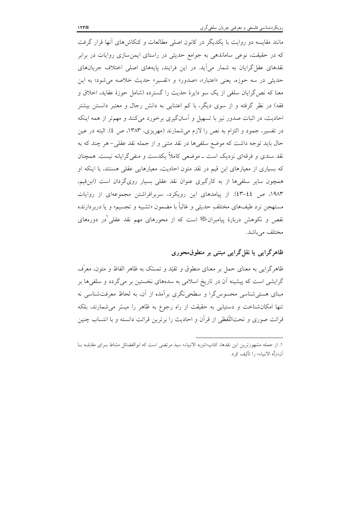مانند مقایسه دو روایت با یکدیگر در کانون اصلی مطالعات و کنکاشهای آنها قرار گرفت که در حقیقت، نوعی ساماندهی به جوامع حدیثی در راستای ایمنسازی روایات در برابر نقدهای عقل گرایان به شمار میآید. در این فرایند، پایههای اصلی اختلاف جریانهای حدیثی در سه حوزه، یعنی «اعتبار»، «صدور» و «تفسیر» حدیث خلاصه می شود؛ به این معنا که نص گرایان سلفی از یک سو دایرهٔ حدیث را گسترده (شامل حوزهٔ عقاید، اخلاق و فقه) در نظر گرفته و از سوی دیگر، با کم اعتنایی به دانش رجال و معتبر دانستن بیشتر احادیث، در اثبات صدور نیز با تسهیل و اّسانگیری برخورد میکنند و مهمتر از همه اینکه در تفسیر، جمود و التزام به نص را لازم میشمارند (مهریزی، ۱۳۸۳، ص ٤). البته در عین حال بايد توجه داشت كه موضع سلفيها در نقد متنى و از جمله نقد عقلى- هر چند كه به نقد سندی و فرقهای نزدیک است ــ موضعی کاملاً یکدست و منفی گرایانه نیست. همچنان که بسیاری از معیارهای ابن قیم در نقد متون احادیث، معیارهایی عقلی هستند، با اینکه او همچون سایر سلفیها از به کارگیری عنوان نقد عقلی بسیار رویگردان است (ابن قیم، ۱۹۸۳، ص ٤٤–٤٣). از پيامدهاى اين رويكرد، سربرافراشتن مجموعهاى از روايات مستهجن نزد طيفهاى مختلفِ حديثي و غالباً با مضمون «تشبيه و تجسيم» و يا دربردارنده نقص و نکوهش دربارهٔ پیامبرانﷺ است که از محورهای مهم نقد عقلی ٰدر دورههای مختلف ميباشد.

## ظاهرگرایی یا نقل گرایی مبتنی بر منطوق محوری

ظاهرگرایی به معنای حمل بر معنای منطوق و تقیّد و تمسّک به ظاهر الفاظ و متون، معرّف گرایشی است که پیشینه آن در تاریخ اسلامی به سدههای نخستین بر میگردد و سلفیها بر مبنای هستی شناسی محسوس گرا و سطحی نگری برآمده از آن، به لحاظ معرفت شناسی نه تنها امکانشناخت و دستیابی به حقیقت از راه رجوع به ظاهر را میسّر می شمارند، بلکه قرائت صوری و تحتاللّفظی از قرأن و احادیث را برترین قرائت دانسته و با انتساب چنین

١. از جمله مشهورترين اين نقدها، كتاب«تنزيه الانبياء» سيد مرتضى است كه ابوالفضائل مشاط بـراى مقابلــه بــا آن«زلَّه الانبياء» را تأليف كرد.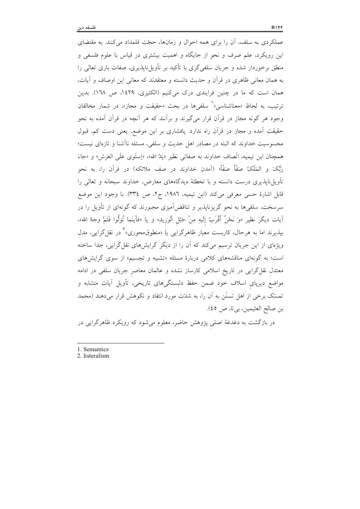عملکردی به سلف، أن را برای همه احوال و زمانها، حجّت قلمداد میکنند. به مقتضای این رویکرد، علم صرف و نحو از جایگاه و اهمیت بیشتری در قیاس با علوم فلسفی و منطق برخوردار شده و جریان سلفی گری با تأکید بر تأویل،ناپذیری، صفات باری تعالی را به همان معانی ظاهری در قرأن و حدیث دانسته و معتقدند که معانی این اوصاف و آیات، همان است که ما در چنین فرایندی درک میکنیم (الکثیری، ۱٤۲۹، ص ۱٦۸). بدین ترتيبِ، به لحاظ «معناشناسي»` سلفيها در بحث «حقيقت و مجاز»، در شمار مخالفان وجود هر گونه مجاز در قرآن قرار میگیرند و برآنند که هر آنچه در قرآن آمده به نحو حقیقت آمده و مجاز در قرأن راه ندارد. پافشاری بر این موضع، یعنی دست کم، قبول محسوسیت خداوند که البته در مصادر اهل حدیث و سلفی، مسئله ناأشنا و تازهای نیست؛ همچنان ابن تيميه، اتَّصاف خداوند به صفاتي نظير «يَدُ الله»، «إستَوى عَلَى العَرش» و «جاءَ رَبُّکَ و المَلَکُ صَفّاً صَفّاً» (اَمدن خداوند در صف ملائکه) در قراَن را، به نحو تأویل،نایذیری درست دانسته و با تخطئهٔ دیدگاههای معارض، خداوند سبحانه و تعالی را قابل اشارهٔ حسی معرفی میکند (ابن تیمیه، ۱۹۸٦، ج۲، ص ۳۳٤). با وجود این موضع سرسخت، سلفیها به نحو گریزناپذیر و تناقضآمیزی مجبورند که گونهای از تأویل را در اّيات ديگر نظير «وَ نَحْنُ أُقْرَبُ إِلَيهِ مِنْ حَبْلِ الْوَرِيدِ» و يا «فأينَما تُوَلُّوا فَثَمَّ وجهُ الله»، بپذیرند اما به هرحال، کاربست معیار ظاهرگرایی یا «منطوقەمحوری»<sup>۲</sup> در نقل**گرایی، مدل** ویژهای از این جریان ترسیم میکند که آن را از دیگر گرایشهای نقل گرایی، جدا ساخته است؛ به گونهای مناقشههای کلامی دربارهٔ مسئله «تشبیه و تجسیم» از سوی گرایش های معتدل نقل گرایی در تاریخ اسلامی کارساز نشده و عالمان معاصر جریان سلفی در ادامه مواضع دیرپای اسلاف خود ضمن حفظ دلبستگیهای تاریخی، تأویل آیات متشابه و تمسَّک برخی از اهل تسنَّن به آن را، به شدَّت مورد انتقاد و نکوهش قرار میدهند (محمد بن صالح العثيمين، بي تا، ص ٤٥).

در بازگشت به دغدغهٔ اصلی پژوهش حاضر، معلوم میشود که رویکرد ظاهرگرایی در

2. listeralism

<sup>1.</sup> Semantics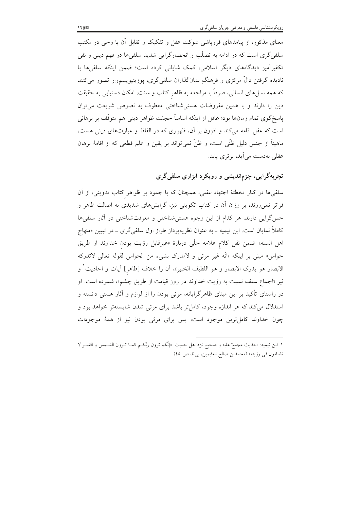معنای مذکور، از پیامدهای فرویاشی شوکت عقل و تفکیک و تقابل آن با وحی در مکتب سلفی گری است که در ادامه به تصلّب و انحصارگرایی شدید سلفیها در فهم دینی و نفی تکفیرآمیز دیدگاههای دیگر اسلامی، کمک شایانی کرده است؛ ضمن اینکه سلفیها با .<br>نادیده گرفتن دالّ مرکزی و فرهنگِ بنیانگذاران سلفیگری، پوزیتیویسمٖوار تصور میکنند که همه نسل(های انسانی، صرفاً با مراجعه به ظاهر کتاب و سنت، امکان دستیابی به حقیقت دین را دارند و با همین مفروضات هستی شناختی معطوف به نصوص شریعت می توان پاسخگوی تمام زمانها بود؛ غافل از اینکه اساساً حجیّت ظواهر دینی هم متوقّف بر برهانی است که عقل اقامه می کند و افزون بر آن، ظهوری که در الفاظ و عبارتهای دینی هست، ماهيتاً از جنس دليل ظنَّى است، و ظنَّ نمي تواند بر يقين و علم قطعي كه از اقامهٔ برهان عقلی بهدست می آید، بر تری پاید.

## تجربهگرایی، جزماندیشی و رویکرد ابزاری سلفیگری

سلفیها در کنار تخطئهٔ اجتهاد عقلی، همچنان که با جمود بر ظواهر کتاب تدوینی، از اَن فراتر نمیروند، بر وزان اَن در کتاب تکوینی نیز، گرایشهای شدیدی به اصالت ظاهر و حس گرایی دارند. هر کدام از این وجوه هستی شناختی و معرفتشناختی در آثار سلفیها کاملاً نمایان است. ابن تیمیه ــ به عنوان نظریهپرداز طراز اول سلفی گری ــ در تبیین «منهاج اهل السنه» ضمن نقل كلام علامه حلَّى دربارهٔ «غيرقابل رؤيت بودن خداوند از طريق حواس» مبنى بر اينكه «انّه غير مرئى و لامدرك بشيء من الحواس لقوله تعالى لاتدركه الابصار هو يدرك الابصار و هو اللطيف الخبير»، أن را خلاف [ظاهر] أيات و احاديث<sup>\</sup> و نیز «اجماع سلف نسبت به رؤیت خداوند در روز قیامت از طریق چشم»، شمرده است. او در راستای تأکید بر این مبنای ظاهرِگرایانه، مرئی بودن را از لوازم و آثار هستی دانسته و استدلال می کند که هر اندازه وجود، کامل تر باشد برای مرئی شدن شایستهتر خواهد بود و چون خداوند کامل ترین موجود است، پس برای مرئی بودن نیز از همهٔ موجودات

١. ابن تيميه: «حديث مجمعٌ عليه و صحيح نزد اهل حديث: «إنَّكم ترون ربَّكم كمــا تـرون الشــمس و القمـر لا تضامون في رؤيته» (محمدبن صالح العثيمين، بي تا، ص ٤٥).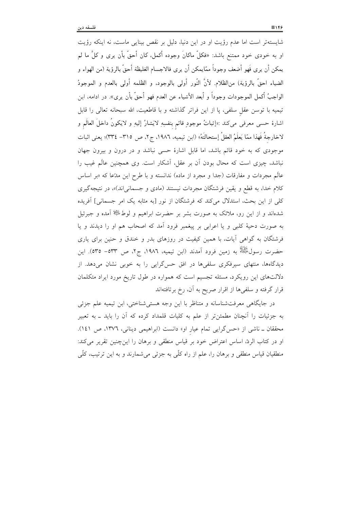شایستهتر است اما عدم رؤیت او در این دنیا، دلیل بر نقص بینایی ماست، نه اینکه رؤیت او به خودی خود ممتنع باشد: «فکلّ ماکانَ وجوده أکمل، کان أحقّ بأن يرى و کلَّ ما لم يمكن أن يرى فَهو أضعف وجوداً ممّايمكن أن يرى فالاجسام الغليظة أحقّ بالرؤية (من الهواء و الضياء احقَّ بالرؤية) من|لظلام. لأنَّ النَّور أولى بالوجود، و الظلمه أولى بالعدم و الموجودُ الواجبُ أكمل الموجودات وجوداً و أبعد الأشياء عن العدم فهو أحقَّ بأن يرى». در ادامه، ابن تیمیه با توسن عقل سلفی، پا از این فراتر گذاشته و با قاطعیت، الله سبحانه تعالی را قابل اشارهٔ حس<sub>ّ</sub>ى معرفى مىكند :«إثباتُ موجودٍ قائم بنفسِهِ لايَشارُ إليهِ و لايَكونُ داخلَ العالَم و لاخارجةُ فَهذا ممّا يَعلَمُ العقلُ إستحالتَهُ» (ابن تيميه، ١٩٨٦، ج٢، ص ٣١٥– ٣٣٤)؛ يعني اثبات موجودی که به خود قائم باشد، اما قابل اشارهٔ حسی نباشد و در درون و بیرون جهان نباشد، چیزی است که محال بودن آن بر عقل، آشکار است. وی همچنین عالَم غیب را عالَم مجردات و مفارقات (جدا و مجرد از ماده) ندانسته و با طرح این مدّعا که «بر اساس کلام خدا، به قطع و یقین فرشتگان مجردات نیستند (مادی و جسمانی|ند)»، در نتیجهگیری کلی از این بحث، استدلال میکند که فرشتگان از نور [به مثابه یک امر جسمانی] آفریده شدهاند و از این رو، ملائک به صورت بشر بر حضرت ابراهیم و لوط ﷺ آمده و جبرئیل به صورت دحیهٔ کلبی و یا اعرابی بر پیغمبر فرود آمد که اصحاب هم او را دیدند و یا فرشتگان به گواهی آیات، با همین کیفیت در روزهای بدر و خندق و حنین برای یاری حضرت رسولَ<sup>ﷺ</sup> به زمین فرود اَمدند (ابن تیمیه، ١٩٨٦، ج٢، ص ٥٣٣– ٥٣٥). این دیدگاهها، منتهای سیرفکری سلفیها در افق حسگرایی را به خوبی نشان میدهد. از دلالتهای این رویکرد، مسئله تجسیم است که همواره در طول تاریخ مورد ایراد متکلمان قرار گرفته و سلفیها از اقرار صریح به آن، رخ برتافتهاند

در جایگاهی معرفتشناسانه و متناظر با این وجه هستیشناختی، ابن تیمیه علم جزئی به جزئیات را آنچنان مطمئنiر از علم به کلیات قلمداد کرده که آن را باید ــ به تعبیر محققان ـ ناشی از «حسگرایی تمام عیار او» دانست (ابراهیمی دینانی، ١٣٧٦، ص ١٤١). او در کتاب الردّ، اساس اعتراض خود بر قیاس منطقی و برهان را اینچنین تقریر می کند: منطقیان قیاس منطقی و برهان را، علم از راه کلّی به جزئی می شمارند و به این ترتیب، کلّی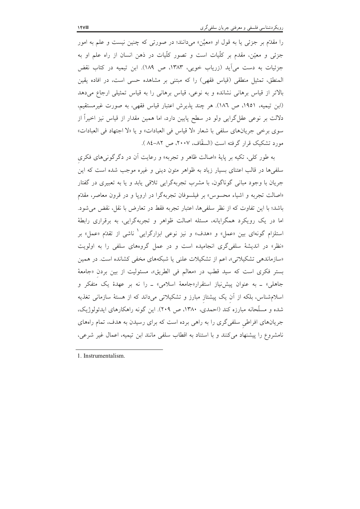را مقدَّم بر جزئی یا به قول او «معیَّن» میدانند؛ در صورتی که چنین نیست و علم به امور جزئی و معیّن، مقدم بر کلّیات است و تصور کلّیات در ذهن انسان از راه علم او به جزئیات به دست میآید (زریاب خویی، ۱۳۸۳، ص ۱۸۹). ابن تیمیه در کتاب نقض المنطق، تمثيل منطقى (قياس فقهى) را كه مبتنى بر مشاهده حسى است، در افاده يقين بالاتر از قیاس برهانی نشانده و به نوعی، قیاس برهانی را به قیاس تمثیلی ارجاع میدهد (ابن تيميه، ١٩٥١، ص ١٨٦). هر چند پذيرش اعتبار قياس فقهي، به صورت غيرمستقيم، دلالت بر نوعی عقل گرایی ولو در سطح پایین دارد، اما همین مقدار از قیاس نیز اخیراً از سوى برخي جريانهاى سلفى با شعار «لا قياس في العبادات» و يا «لا اجتهاد في العبادات» مورد تشکیک قرار گرفته است (السقّاف، ۲۰۰۷، ص ۸۲–۸٤.).

به طور کلی، تکیه بر پایهٔ «اصالت ظاهر و تجربه» و رعایت آن در دگرگونیهای فکری سلفیها در قالب اعتنای بسیار زیاد به ظواهر متون دینی و غیره موجب شده است که این جریان با وجود مبانی گوناگون، با مشرب تجربهگرایی تلاقی یابد و یا به تعبیری در گفتار «اصالت تجربه و اشياء محسوس» بر فيلسوفان تجربهگرا در اروپا و در قرون معاصر، مقدّم باشد؛ با این تفاوت که از نظر سلفیها، اعتبار تجربه فقط در تعارض با نقل، نقض می شود. اما در یک رویکرد همگرایانه، مسئله اصالت ظواهر و تجربهگرایی، به برقراری رابطهٔ استلزام گونهای بین «عمل» و «هدف» و نیز نوعی ابزارگرایی<sup>٬</sup> ناشی از تقدّم «عمل» بر «نظر» در اندیشهٔ سلفی گری انجامیده است و در عمل گروههای سلفی را به اولویت «سازماندهی تشکیلاتی»، اعم از تشکیلات علنی یا شبکههای مخفی کشانده است. در همین بستر فكرى است كه سيد قطب در «معالم في الطريق»، مسئوليت از بين بردن «جامعة جاهلي» \_ به عنوان پيش نياز استقرار«جامعهٔ اسلامي» \_ را نه بر عهدهٔ يک متفکر و اسلام شناس، بلکه از آن یک پیشتاز مبارز و تشکیلاتی میداند که از هستهٔ سازمانی تغذیه شده و مسلّحانه مبارزه کند (احمدی، ۱۳۸۰، ص ۲۰۹). این گونه راهکارهای ایدئولوژیک، جریانهای افراطی سلفیگری را به راهی برده است که برای رسیدن به هدف، تمام راههای نامشروع را پیشنهاد میکنند و با استناد به اقطاب سلفی مانند ابن تیمیه، اعمال غیر شرعی،

1. Instrumentalism.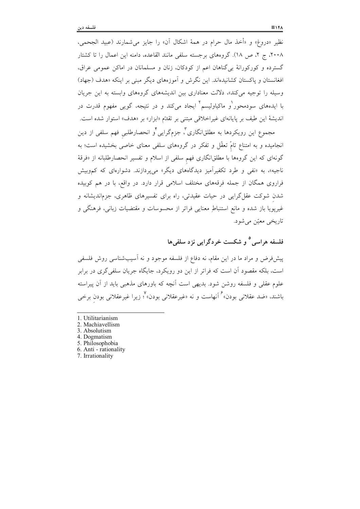نظيرِ «دروغ» و «أخذ مال حرام در همهٔ اشكال آن» را جايز مي شمارند (عبيد الجحمي، ۲۰۰۸، ج ۲، ص ۱۸). گروههای برجسته سلفی مانند القاعده، دامنه این اعمال را تا کشتار گسترده و کورکورانهٔ بی گناهان اعم از کودکان، زنان و مسلمانان در اماکن عمومی عراق، افغانستان و پاکستان کشانیدهاند. این نگرش و آموزههای دیگر مبنی بر اینکه «هدف (جهاد) وسیله را توجیه می کند»، دلالت معناداری بین اندیشههای گروههای وابسته به این جریان با ایدههای سودمحور<sup>(</sup>و ماکیاولیسم<sup>۲</sup> ایجاد میکند و در نتیجه، گوی<sub>ب</sub>ی مفهوم قدرت در اندیشهٔ این طیف بر پایانهای غیراخلاقی مبتنی بر تقدّم «ابزار» بر «هدف» استوار شده است.

مجموع این رویکردها به مطلقانگاری ٌّ، جزمگرایی ٌو انحصارطلبی فهم سلفی از دین انجامیده و به امتناع تامّ تعقّل و تفکر در گروههای سلفی معنای خاصی بخشیده است؛ به گونهای که این گروهها با مطلقانگاری فهم سلفی از اسلام و تفسیر انحصارطلبانه از «فرقهٔ ناجیه»، به «نفی و طرد تکفیرآمیز دیدگاههای دیگر» می پردازند. دشوارهای که کموبیش فراروی همگان از جمله فرقههای مختلف اسلامی قرار دارد. در واقع، با در هم کوبیده شدن شوکت عقل گرایی در حیات عقیدتی، راه برای تفسیرهای ظاهری، جزماندیشانه و غیرپویا باز شده و مانع استنباطِ معنایی فراتر از محسوسات و مقتضیات زبانی، فرهنگی و تاريخي معيّن مي شو د.

## فلسفه هراسي <sup>0</sup> و شکست خردگرايي نزد سلفي ها

پیشفررض و مراد ما در این مقام، نه دفاع از فلسفه موجود و نه آسیبشناسی روش فلسفی است، بلکه مقصود اَن است که فراتر از این دو رویکرد، جایگاه جریان سلفی گری در برابر علوم عقلی و فلسفه روشن شود. بدیهی است آنچه که باورهای مذهبی باید از آن ییراسته باشند، «ضد عقلانی بودن» گرآنهاست و نه «غیرعقلانی بودن»؟ زیرا غیرعقلانی بودن برخی

- 1. Utilitarianism
- 2. Machiavellism
- 3. Absolutism
- 4. Dogmatism
- 5. Philosophobia
- 6. Anti rationality 7. Irrationality
-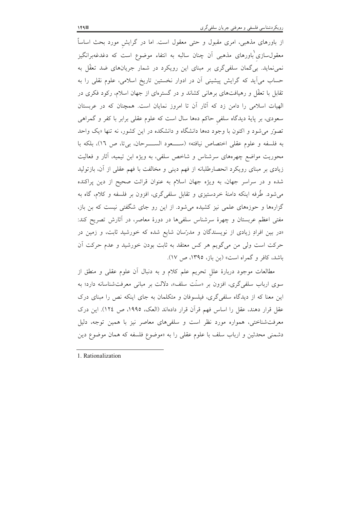از باورهای مذهبی، امری مقبول و حتی معقول است. اما در گرایش مورد بحث اساساً معقول $سازی باورهای مذهبی آن چنان سالبه به انتفاء موضوع است که دغدغهبرانگیز$ نمی،نماید. بی گمان سلفی گری بر مبنای این رویکرد در شمار جریانهای ضد تعقّل به حساب میآید که گرایش پیشینی آن در ادوار نخستین تاریخ اسلامی، علوم نقلی را به تقابل با تعقّل و رهیافتهای برهانی کشاند و در گسترهای از جهان اسلام، رکود فکری در الهیات اسلامی را دامن زد که آثار آن تا امروز نمایان است. همچنان که در عربستان سعودی، بر پایهٔ دیدگاه سلفی حاکم دهها سال است که علوم عقلی برابر با کفر و گمراهی تصور میشود و اکنون با وجود دهها دانشگاه و دانشکده در این کشور، نه تنها «یک واحد به فلسفه و علوم عقلي اختصاص نيافته» (ســـعود الســـرحان، بي تا، ص ١٦)، بلكه با محوریت مواضع چهرههای سرشناس و شاخص سلفی، به ویژه ابن تیمیه، آثار و فعالیت زیادی بر مبنای رویکرد انحصارطلبانه از فهم دینی و مخالفت با فهم عقلی از آن، بازتولید شده و در سراسر جهان، به ویژه جهان اسلام به عنوان قرائت صحیح از دین پراکنده می شود. طُرفه اینکه دامنهٔ خردستیزی و تقابل سلفیگری، افزون بر فلسفه و کلام، گاه به گزارهها و حوزههای علمی نیز کشیده میشود. از این رو جای شگفتی نیست که بن باز، مفتی اعظم عربستان و چهرهٔ سرشناس سلفیها در دورهٔ معاصر، در آثارش تصریح کند: «در بین افرادِ زیادی از نویسندگان و مدرّسان شایع شده که خورشید ثابت، و زمین در حرکت است ولی من میگویم هر کس معتقد به ثابت بودن خورشید و عدم حرکت آن باشد، کافر و گمراه است» (بن باز، ۱۳۹۵، ص ۱۷).

مطالعات موجود دربارهٔ علل تحریم علم کلام و به دنبال أن علوم عقلی و منطق از سوی ارباب سلفی گری، افزون بر «سنّت سلف»، دلالت بر مبانی معرفتشناسانه دارد؛ به این معنا که از دیدگاه سلفی گری، فیلسوفان و متکلمان به جای اینکه نص را مبنای درک عقل قرار دهند، عقل را اساس فهم قرآن قرار دادهاند (العک، ۱۹۹۵، ص ۱۲٤). این درک معرفتشناختی، همواره مورد نظر است و سلفیهای معاصر نیز با همین توجه، دلیل دشمنی محدثین و ارباب سلف با علوم عقلی را به «موضوع فلسفه که همان موضوع دین

1. Rationalization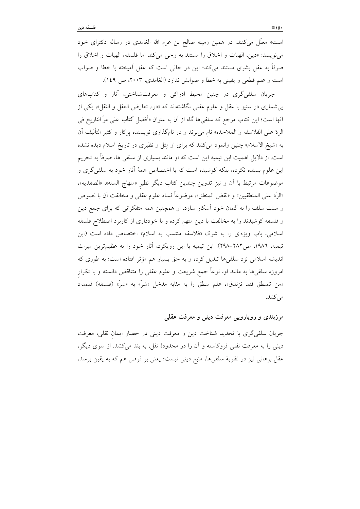است» معلَّل میکنند. در همین زمینه صالح بن غرم الله الغامدی در رساله دکترای خود مي نويسد: «دين، الهيات و اخلاق را مستند به وحي مي كند اما فلسفه، الهيات و اخلاق را صرفاً به عقل بشری مستند میکند؛ این در حالی است که عقل اَمیخته با خطا و صواب است و علم قطعی و یقینی به خطا و صوابش ندارد (الغامدی، ۲۰۰۳، ص ۱٤۹).

جريان سلفي گري در چنين محيط ادراكي و معرفتشناختي، آثار و كتابهاي بی شماری در ستیز با عقل و علوم عقلی نگاشتهاند که «درء تعارض العقل و النقل»، یکی از اّنها است؛ این کتاب مرجع که سلفی ها گاه از آن به عنوان «أفضل کتاب علی مرّ التاریخ فی الردّ على الفلاسفه و الملاحده» نام مي برند و در نامگذاري نويسنده پرکار و کثير التأليف اَن به «شيخ الاسلام» چنين وانمود مي كنند كه براي او مِثل و نظيري در تاريخ اسلام ديده نشده است. از دلایل اهمیت ابن تیمیه این است که او مانند بسیاری از سلفی ها، صرفاً به تحریم این علوم بسنده نکرده، بلکه کوشیده است که با اختصاص همهٔ آثار خود به سلفی گری و موضوعات مرتبط با أن و نيز تدوين چندين كتاب ديگر نظير «منهاج السنه»، «الصفديه»، «الرَّد على المنطقيين» و «نقض المنطق»، موضوعاً فساد علوم عقلي و مخالفت آن با نصوص و سنت سلف را به گمان خود آشکار سازد. او همچنین همه متفکرانی که برای جمع دین و فلسفه کوشیدند را به مخالفت با دین متهم کرده و با خودداری از کاربرد اصطلاح فلسفه اسلامی، باب ویژهای را به شرک «فلاسفه منتسب به اسلام» اختصاص داده است (ابن تیمیه، ١٩٨٦، ص٢٨٢–٢٩٨). ابن تیمیه با این رویکرد، آثار خود را به عظیمترین میراث اندیشه اسلامی نزد سلفیها تبدیل کرده و به حق بسیار هم مؤثر افتاده است؛ به طوری که امروزه سلفیها به مانند او، نوعاً جمع شریعت و علوم عقلی را متناقض دانسته و با تکرار «من تمنطق فقد تزندق»، علم منطق را به مثابه مدخل «شرّ» به «شرّ» (فلسفه) قلمداد مى كنند.

#### مرزبندي و رويارويي معرفت ديني و معرفت عقلي

جريان سلفي گري با تحديد شناخت دين و معرفت ديني در حصار ايمان نقلي، معرفت دینی را به معرفت نقلی فروکاسته و آن را در محدودهٔ نقل، به بند میکشد. از سوی دیگر، عقل برهانی نیز در نظریهٔ سلفیها، منبع دینی نیست؛ یعنی بر فرض هم که به یقین برسد،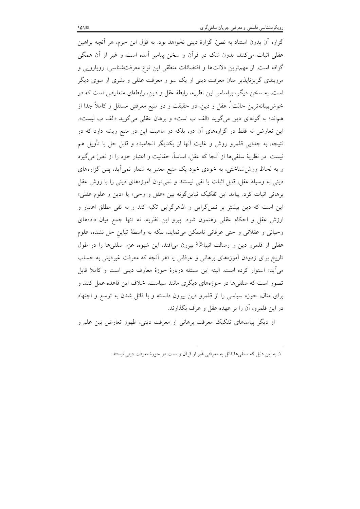گزاره آن بدون استناد به نصٌ، گزارهٔ دینی نخواهد بود. به قول ابن حزم، هر أنچه براهین عقلی اثبات میکنند، بدون شک در قرأن و سخن پیامبر اَمده است و غیر از اَن همگی گزافه است. از مهمترین دلالتها و اقتضائات منطقی این نوع معرفتشناسی، رویارویی و مرزبندی گریزناپذیر میان معرفت دینی از یک سو و معرفت عقلی و بشری از سوی دیگر است. به سخن دیگر، براساس این نظریه، رابطهٔ عقل و دین، رابطهای متعارض است که در خوش بينانهترين حالت`، عقل و دين، دو حقيقت و دو منبع معرفتي مستقل و كاملاً جدا از هماند؛ به گونهای دین می گوید «الف ب است» و برهان عقلی می گوید «الف ب نیست». این تعارض نه فقط در گزارههای آن دو، بلکه در ماهیت این دو منبع ریشه دارد که در نتیجه، به جدایی قلمرو روش و غایت آنها از یکدیگر انجامیده و قابل حل با تأویل هم نيست. در نظريهٔ سلفيها از آنجا كه عقل، اساساً، حقانيت و اعتبار خود را از نصٌّ مي گيرد و به لحاظ روششاختی، به خودی خود یک منبع معتبر به شمار نمی آید، پس گزارههای دینی به وسیله عقل، قابل اثبات یا نفی نیستند و نمی توان آموزههای دینی را با روش عقل برهاني اثبات كرد. پيامد اين تفكيك تباينٍ گونه بين «عقل و وحي» يا «دين و علوم عقلي» این است که دین بیشتر بر نص\$رایی و ظاهرگرایی تکیه کند و به نفی مطلق اعتبار و ارزش عقل و احکام عقلی رهنمون شود. پیرو این نظریه، نه تنها جمع میان دادههای وحیانی و عقلانی و حتی عرفانی ناممکن مینماید، بلکه به واسطهٔ تباین حل نشده، علوم عقلی از قلمرو دین و رسالت انبیاﷺ بیرون می|فتد. این شیوه، عزم سلفیها را در طول تاریخ برای زدودن آموزههای برهانی و عرفانی یا «هر آنچه که معرفت غیردینی به حساب مي آيد» استوار كرده است. البته اين مسئله دربارهٔ حوزهٔ معارف ديني است و كاملا قابل تصور است که سلفیها در حوزههای دیگری مانند سیاست، خلاف این قاعده عمل کنند و برای مثال، حوزه سیاسی را از قلمرو دین بیرون دانسته و با قائل شدن به توسع و اجتهاد در این قلمرو، آن را بر عهده عقل و عرف بگذارند.

از دیگر پیامدهای تفکیک معرفت برهانی از معرفت دینی، ظهور تعارض بین علم و

١. به اين دليل كه سلفي ها قائل به معرفتي غير از قرآن و سنت در حوزهٔ معرفت ديني نيستند.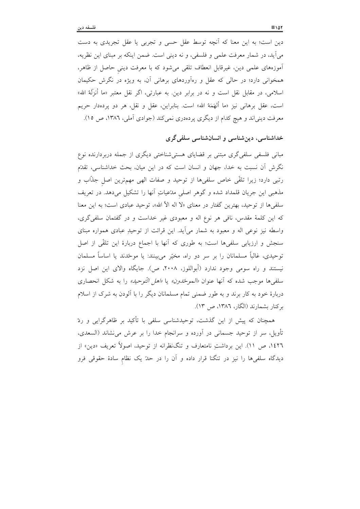دین است؛ به این معنا که آنچه توسط عقل حسی و تجربی یا عقل تجریدی به دست میآید، در شمار معرفت علمی و فلسفی، و نه دینی است. ضمن اینکه بر مبنای این نظریه، آموزههای علمی دین، غیرقابل انعطاف تلقی میشود که با معرفت دینی حاصل از ظاهر، همخوانی دارد؛ در حالی که عقل و رهآوردهای برهانی آن، به ویژه در نگرش حکیمان اسلامی، در مقابل نقل است و نه در برابر دین. به عبارتی، اگر نقل معتبر «ما أنزَلَهُ الله» است، عقل برهاني نيز «ما ألهَمَهُ الله» است. بنابراين، عقل و نقل، هر دو يردهدار حريم معرفت دینیاند و هیچ کدام از دیگری پردهدری نمیکند (جوادی آملی، ۱۳۸٦، ص ۱۵).

### خداشناسی، دین شناسی و انسان شناسی سلفی گری

مبانی فلسفی سلفیگری مبتنی بر قضایای هستی شناختی دیگری از جمله دربردارنده نوع نگرش آن نسبت به خدا، جهان و انسان است که در این میان، بحث خداشناسی، تقدّم رتبي دارد؛ زيرا تلقَّى خاص سلفيها از توحيد و صفات الهي مهم ترين اصل جذَّاب و مذهبی این جریان قلمداد شده و گوهر اصلی مدّعیاتِ آنها را تشکیل میدهد. در تعریف سلفیها از توحید، بهترین گفتار در معنای «لا اله الاّ الله»، توحید عبادی است؛ به این معنا که این کلمهٔ مقدس، نافی هر نوع اله و معبودی غیر خداست و در گفتمان سلفیگری، واسطه نیز نوعی اله و معبود به شمار میآید. این قرائت از توحیدِ عبادی همواره مبنای سنجش و ارزیابی سلفیها است؛ به طوری که آنها با اجماع دربارهٔ این تلقّی از اصل توحیدی، غالباً مسلمانان را بر سر دو راه، مخیّر میبینند: یا موحّدند یا اساساً مسلمان نیستند و راه سومی وجود ندارد (أبواللوز، ۲۰۰۸، ص). جایگاه والای این اصل نزد سلفي ها موجب شده كه آنها عنوان *«الموحّدون»* يا *«اهل التّوحيد»* را به شكل انحصارى دربارهٔ خود به کار برند و به طور ضمنی تمام مسلمانان دیگر را با آلودن به شرک از اسلام برکنار بشمارند (الگار، ۱۳۸۲، ص ۱۳).

همچنان که پیش از این گذشت، توحیدشناسی سلفی با تأکید بر ظاهرگرایی و ردّ تأویل، سر از توحید جسمانی در آورده و سرانجام خدا را بر عرش می نشاند (السعدی، ۱٤٢٦، ص ١١). این برداشتِ نامتعارف و تنگنظرانه از توحید، اصولاً تعریف «دین» از دیدگاه سلفیها را نیز در تنگنا قرار داده و آن را در حدّ یک نظام سادهٔ حقوقی فرو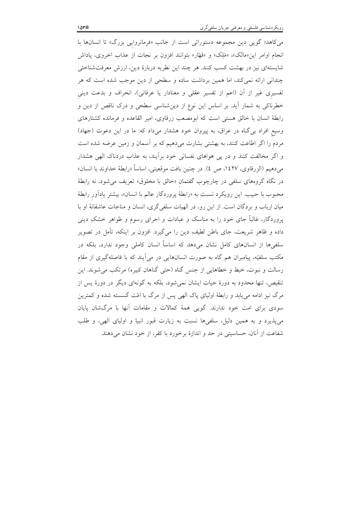میکاهد؛ گویی دین مجموعه دستوراتی است از جانب «فرمانروایی بزرگ» تا انسانها با انجام اوامر این«مالک»، «مَلِک» و «قهّار» بتوانند افزون بر نجات از عذاب اخروی، پاداش شایستهای نیز در بهشت کسب کنند. هر چند این نظریه دربارهٔ دین، ارزش معرفتشناختی چندانی ارائه نمی کند، اما همین برداشت ساده و سطحی از دین موجب شده است که هر تفسیری غیر از آن (اعم از تفسیر عقلی و معنادار یا عرفانی)، انحراف و بدعت دینی خطرناکی به شمار آید. بر اساس این نوع از دینشناسی سطحی و درک ناقص از دین و رابطهٔ انسان با خالق هستی است که ابومصعب زرقاوی، امیر القاعده و فرمانده کشتارهای وسیع افراد بی گناه در عراق، به پیروان خود هشدار میداد که: ما در این دعوت (جهاد) مردم را اگر اطاعت کنند، به بهشتی بشارت میدهیم که بر آسمان و زمین عرضه شده است و اگر مخالفت کنند و در پی هواهای نفسانی خود برآیند، به عذاب دردناک الهی هشدار مي دهيم (الزرقاوي، ١٤٢٧، ص ٤). در چنين بافت موقعيتي، اساساً «رابطة خداوند با انسان» در نگاه گروههای سلفی در چارچوب گفتمان «خالق با مخلوق» تعریف میشود، نه رابطهٔ محبوب با حبیب. این رویکرد نسبت به «رابطهٔ پروردگار عالم با انسان»، بیشتر یادآور رابطهٔ میان ارباب و بردگان است. از این رو، در الهیات سلفی گری، انسان و مناجات عاشقانهٔ او با پروردگار، غالباً جای خود را به مناسک و عبادات و اجرای رسوم و ظواهر خشکِ دینی داده و ظاهر شریعت، جای باطن لطیف ِ دین را میگیرد. افزون بر اینکه، تأمل در تصویر سلفیها از انسانهای کامل نشان میدهد که اساساً انسان کاملی وجود ندارد، بلکه در مکتب سلفیّه، پیامبران هم گاه به صورت انسانهایی در میآیند که با فاصلهگیری از مقام رسالت و نبوت، خبط و خطاهایی از جنس گناه (حتی گناهان کبیره) مرتکب می شوند. این تنقیص، تنها محدود به دورهٔ حیات ایشان نمی شود، بلکه به گونهای دیگر در دورهٔ پس از مرگ نیز ادامه می،یابد و رابطهٔ اولیای پاک الهی پس از مرگ با امّت گسسته شده و کمترین سودی برای امت خود ندارند. گویی همهٔ کمالات و مقامات آنها با مرگشان پایان می پذیرد و به همین دلیل، سلفیها نسبت به زیارت قبور انبیا و اولیای الهی، و طلب شفاعت از آنان، حساسیتی در حد و اندازهٔ برخورد با کفر، از خود نشان میدهند.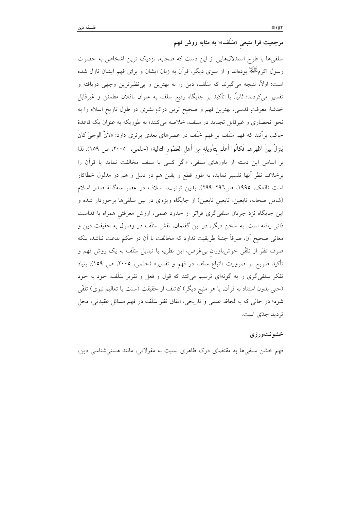مرجعیت فرا منبعی «سَلَف»؛ به مثابه روش فهم

سلفیها با طرح استدلالهایی از این دست که صحابه، نزدیک ترین اشخاص به حضرت رسول اکرمﷺ بودهاند و از سوی دیگر، قرآن به زبان ایشان و برای فهم ایشان نازل شده است: اولاً، نتیجه می گیرند که سَلَف، دین را به بهترین و بی نظیرترین وجهی دریافته و تفسیر میکردند؛ ثانیاً، با تأکید بر جایگاه رفیع سلف به عنوان ناقلان مطمئن و غیرقابل خدشهٔ معرفتِ قدسی، بهترین فهم و صحیح ترین درکِ بشری در طول تاریخ اسلام را به نحو انحصاری و غیرقابل تجدید در سلف، خلاصه میکنند؛ به طوریکه به عنوان یک قاعدهٔ حاکم، بر آنند که فهم سَلَف بر فهم خَلَف در عصرهای بعدی برتری دارد: «لأنَّ الوحیَ کانَ يَنزِلُ بينَ اظهرِهم فَكانُوا أعلَم بتأويلِة مِن أهل العُصُور التالية» (حلمي، ٢٠٠٥، ص ١٥٩). لذا بر اساس این دسته از باورهای سلفی، «اگر کسی با سلف مخالفت نماید یا قرآن را برخلاف نظر أنها تفسير نمايد، به طور قطع و يقين هم در دليل و هم در مدلول خطاكار است (العک، ١٩٩٥، ص٢٩٦-٢٩٩). بدين ترتيب، اسلاف در عصر سهگانهٔ صدر اسلام (شامل صحابه، تابعین، تابعین تابعین) از جایگاه ویژهای در بین سلفیها برخوردار شده و این جایگاه نزد جریان سلفیگری فراتر از حدود علمی، ارزش معرفتی همراه با قداست ذاتی یافته است. به سخن دیگر، در این گفتمان، نقش سَلَف در وصول به حقیقت دین و معانی صحیح آن، صرفاً جنبهٔ طریقیت ندارد که مخالفت با آن در حکم بدعت نباشد، بلکه صرف نظر از تلقّی خوشباوران بیءغرض، این نظریه با تبدیل سَلَف به یک روش فهم و تأکید صریح بر ضرورت «اتباع سلف در فهم و تفسیر» (حلمی، ۲۰۰۵، ص ۱۵۹)، بنیاد تفکر سلفیگری را به گونهای ترسیم میکند که قول و فعل و تقریر سَلَف، خود به خود (حتى بدون استناد به قرآن، يا هر منبع ديگر) كاشف از حقيقت (سنت يا تعاليم نبوي) تلقّى شود؛ در حالی که به لحاظ علمی و تاریخی، اتفاق نظر سَلَف در فهم مسائل عقیدتی، محل تر دید جدّی است.

#### خشونتورزى

فهم خشن سلفیها به مقتضای درک ظاهری نسبت به مقولاتی، مانند هستیشناسی دین،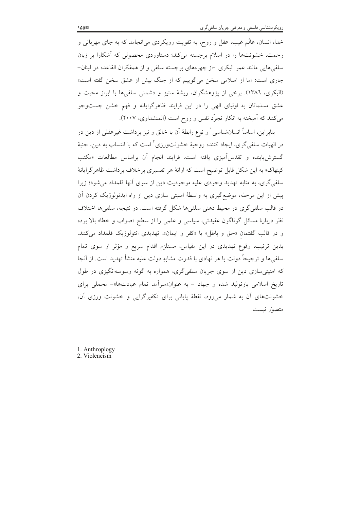خدا، انسان، عالَم غیب، عقل و روح، به تقویت رویکردی می|نجامد که به جای مهربانی و رحمت، خشونتها را در اسلام برجسته میکند؛ دستاوردی محصولی که آشکارا بر زبان سلفیهایی مانند عمر البکری ⊣ز چهرههای برجسته سلفی و از همفکران القاعده در لبنان− جاری است: «ما از اسلامی سخن میگوییم که از جنگ بیش از عشق سخن گفته است» (البكرى، ١٣٨٦). برخي از پژوهشگران، ريشهٔ ستيز و دشمني سلفيها با ابراز محبت و عشق مسلمانان به اولیای الهی را در این فرایند ظاهرگرایانه و فهم خشن جستوجو میکنند که آمیخته به انکار تجرّد نفس و روح است (المنشداوی، ۲۰۰۷).

بنابراین، اساساً انسانشناسی ٰ و نوع رابطهٔ اَن با خالق و نیز برداشت غیرعقلی از دین در در الهیات سلفی گری، ایجاد کننده روحیهٔ خشونتورزی<sup>۲</sup> است که با انتساب به دین، جنبهٔ گسترش یابنده و تقدس آمیزی یافته است. فرایند انجام آن براساس مطالعات «مکتب کینهاک» به این شکل قابل توضیح است که ارائهٔ هر تفسیری برخلاف برداشت ظاهرگرایانهٔ سلفی گری، به مثابه تهدید وجودی علیه موجودیت دین از سوی آنها قلمداد میشود؛ زیرا پیش از این مرحله، موضع گیری به واسطهٔ امنیتی سازی دین از راه ایدئولوژیک کردن آن در قالب سلفی گری در محیط ذهنی سلفی ها شکل گرفته است. در نتیجه، سلفی ها اختلاف نظر دربارهٔ مسائل گوناگون عقیدتی، سیاسی و علمی را از سطح «صواب و خطا» بالا برده و در قالب گفتمان «حق و باطل» یا «کفر و ایمان»، تهدیدی انتولوژیک قلمداد میکنند. بدین ترتیب، وقوع تهدیدی در این مقیاس، مستلزم اقدام سریع و مؤثر از سوی تمام سلفيها و ترجيحاً دولت يا هر نهادي با قدرت مشابهِ دولت عليه منشأ تهديد است. از آنجا که امنیتی سازی دین از سوی جریان سلفی گری، همواره به گونه وسوسهانگیزی در طول تاریخ اسلامی بازتولید شده و جهاد - به عنوان«سرآمد تمام عبادتها»- محملی برای خشونتهای آن به شمار میرود، نقطهٔ پایانی برای تکفیرگرایی و خشونت ورزی آن، متصوّر نيست.

- 1. Anthroplogy
- 2. Violencism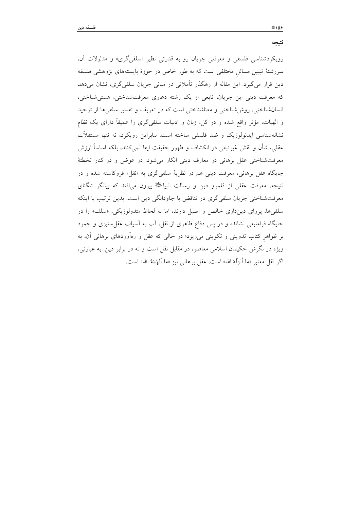نتيجه

رویکردشناسی فلسفی و معرفتی جریان رو به قدرتی نظیر «سلفیگری» و مدلولات آن، سررشتهٔ تبیین مسائل مختلفی است که به طور خاص در حوزهٔ بایستههای پژوهشی فلسفه دین قرار میگیرد. این مقاله از رهگذر تأملاتی در مبانی جریان سلفیگری، نشان میدهد که معرفت دینی این جریان، تابعی از یک رشته دعاوی معرفتشناختی، هستی شناختی، انسان شناختی، روش شناختی و معناشناختی است که در تعریف و تفسیر سلفی ها از توحید و الهیات، مؤثَّر واقع شده و در کل، زبان و ادبیات سلفیگری را عمیقاً دارای یک نظام نشانهشناسی ایدئولوژیک و ضد فلسفی ساخته است. بنابراین رویکرد، نه تنها مستقلاّت عقلی، شأن و نقش غیرتبعی در انکشاف و ظهور حقیقت ایفا نمیکنند، بلکه اساساً ارزش معرفت شناختی عقل برهانی در معارف دینی انکار میشود. در عوض و در کنار تخطئهٔ جایگاه عقل برهانی، معرفت دینی هم در نظریهٔ سلفیگری به «نقل» فروکاسته شده و در نتیجه، معرفت عقلی از قلمرو دین و رسالت انبیاطی بیرون میافتد که بیانگر تنگنای معرفتشناختی جریان سلفی گری در تناقض با جاودانگی دین است. بدین ترتیب با اینکه سلفیها، یروای دینداری خالص و اصیل دارند، اما به لحاظ متدولوژیکی، «سلف» را در جایگاه فرامنبعی نشانده و در پس دفاع ظاهری از نقل، آب به آسیاب عقل ستیزی و جمود بر ظواهر کتاب تدوینی و تکوینی میریزد؛ در حالی که عقل و رهآوردهای برهانی آن، به ویژه در نگرش حکیمان اسلامی معاصر، در مقابل نقل است و نه در برابر دین. به عبارتی، اگر نقل معتبر «ما أنزِلَهُ الله» است، عقل برهاني نيز «ما ألهَمَهُ الله» است.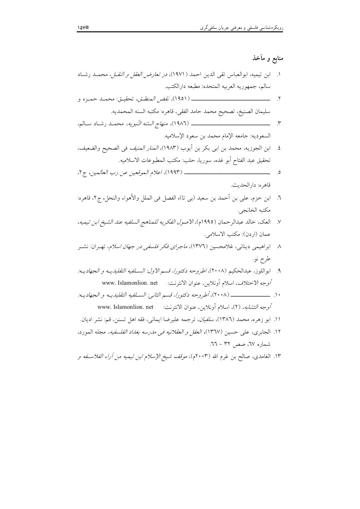# منابع و مآخذ

| ۱.    ابن تیمیه، ابوالعباس تقی الدین احمد (۱۹۷۱)، <i>در تعارض العقل و النقــل</i> ، محمــد رشــاد     |            |
|-------------------------------------------------------------------------------------------------------|------------|
| سالم، جمهوريه العربيه المتحده: مطبعه دارالكتب.                                                        |            |
|                                                                                                       |            |
| سليمان الصنيخ، تصحيح محمد حامد الفقي، قاهره: مكتبه السنه المحمديه.                                    |            |
|                                                                                                       |            |
| السعوديه: جامعه الإمام محمد بن سعود الإسلاميه.                                                        |            |
| ٤.    ابن الجوزيه، محمد بن ابي بكر بن أيوب (١٩٨٣)، <i>المنار المنيف</i> في الصحيح والضعيف،            |            |
| تحقيق عبد الفتاح أبو غده، سوريا، حلب: مكتب المطبوعات الاسلاميه.                                       |            |
|                                                                                                       | $\cdot$ .0 |
| قاهره: دارالحديث.                                                                                     |            |
| ٦.    ابن حزم، على بن أحمد بن سعيد (بي تا)، الفصل في الملل والأهواء والنحل، ج٢، قاهره:                |            |
| مكتبه الخانجي.                                                                                        |            |
| ٧.    العك، خالد عبدالرحمان (١٩٩٥م)، <i>الاصول الفكريه للمناهج السلفيه عند الشيخ ابن تيميه</i> ،      |            |
| عمان (اردن): مكتب الاسلامى.                                                                           |            |
| ۸ - ابراهیمی دینانی، غلامحسین (۱۳۷٦)، <i>ماجرای فکر فلسفی در جهان اسلام</i> ، تهـران: نشــر           |            |
| طرح نو.                                                                                               |            |
| ٩.    ابواللوز، عبدالحكيم (٢٠٠٨)، <i>اطروحه دكتورا، قسم الاول: السـلفيه التقليديــه و الجهاديــه:</i> |            |
| <i>أوجه الاختلاف</i> ، اسلام أونلاين، عنوان الانترنت:     www. Islamonlion. net                       |            |
|                                                                                                       |            |
| <i>أوجه التشابه</i> ، (٢)، اسلام أونلاين، عنوان الانترنت:     www. Islamonlion. net                   |            |
| ۱۱. ابو زهره، محمد (۱۳۸٦)، <i>سلفیان</i> ، ترجمه علیرضا ایمانی، فقه اهل تسنن، قم: نشر ادیان.          |            |
| ۱۲. الجابری، علی حسین (۱۳٦۷)، <i>العقل و العقلانیه فی مدرسه بغداد الفلسفیه</i> ، مجله المورد،         |            |
| شماره ٦٧. صص ٣٢ – ٦٦.                                                                                 |            |
| ۱۳. الغامدی، صالح بن غرم الله (۲۰۰۳م)، <i>موقف شیخ الإسلام ابن تیمیه من آراء الفلاســفه و</i>         |            |
|                                                                                                       |            |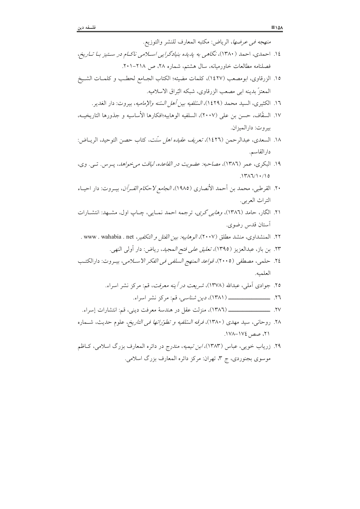| <i>منهجه في عرضها</i> ، الرياض: مكتبه المعارف للنشر والتوزيع.                                 |
|-----------------------------------------------------------------------------------------------|
| ۱٤. احمدی، احمد (۱۳۸۰)، نگاهی به پا یاه بنیادگرایی اسلامی ناکـام در سـتیز بـا تــاریخ،        |
| فصلنامه مطالعات خاورمیانه، سال هشتم، شماره ۲۸، ص ۲۱۸–۲۰۱.                                     |
| ١٥. الزرقاوى، ابومصعب (١٤٢٧)، كلمات مضيئه؛ الكتاب الجــامع لحطــب و كلمــات الشــيخ           |
| المعتزُّ بدينه ابي مصعب الزرقاوي، شبكه البُراق الاسلاميه.                                     |
| ١٦. الكثيرى، السيد محمد (١٤٢٩)، <i>السّلفيه بين أهل السّنه والإماميه</i> ، بيروت: دار الغدير. |
| ١٧. السقَّاف، حسن بن علي (٢٠٠٧)، السلفيه الوهابيه؛افكارها الأساسيه و جذورها التاريخيــه،      |
| بيروت: دارالميزان.                                                                            |
| ١٨. السعدى، عبدالرحمن (١٤٢٦)، <i>تعريف عقيده اهل سُنت</i> ، كتاب حصن التوحيد، الريــاض:       |
| دارالقاسم.                                                                                    |
| ۱۹. البکری، عمر (۱۳۸٦)، <i>مصاحبه: عضویت در القاعده، لیاقت می خواهد</i> ، پــرس. تــی. وی،    |
| 1717/1.70                                                                                     |
| ۲۰. القرطبي، محمد بن أحمد الأنصارى (١٩٨٥)، <i>الجامع لاحكام القـرآن</i> ، بيـروت: دار احيــاء |
| التراث العربي.                                                                                |
| ۲۱. الگار، حامد (۱۳۸٦)، <i>وهابی گری</i> ، ترجمه احمد نمـایی، چـاپ اول، مشــهد: انتشــارات    |
| أستان قدس رضوي.                                                                               |
| ٢٢. المنشداوى، منشد مطلق (٢٠٠٧)، <i>الوهابيه: بين القتل و التكفير</i> ، www . wahabia . net . |
| ٢٣. بن باز، عبدالعزيز (١٣٩٥)، <i>تعليق على فتح المجيد</i> ، رياض: دار أولى النهى.             |
| ٢٤. حلمي، مصطفى (٢٠٠٥)، <i>قواعد المنهج السلفى في الفكر الاســلامي</i> ، بيــروت: دارالكتــب  |
| العلميه.                                                                                      |
| ۲۵. جوادی آملی، عبدالله (۱۳۷۸)، <i>شریعت در آینه معرفت</i> ، قم: مرکز نشر اسراء.              |
|                                                                                               |
|                                                                                               |
| ۲۸. روحانی، سید مهدی (۱۳۸۰)، <i>فرقه السّلفیه و تطوّراتها فی التاریخ</i> ، علوم حدیث، شــماره |
| ۲۱، صص ۱۷٤–۱۷۸.                                                                               |
| ۲۹. زریاب خویی، عباس (۱۳۸۳)، <i>ابن تیمیه</i> ، مندرج در دائره المعارف بزرگ اسلامی، کــاظم    |
| موسوی بجنوردی، ج ۳، تهران: مرکز دائره المعارف بزرگ اسلامی.                                    |